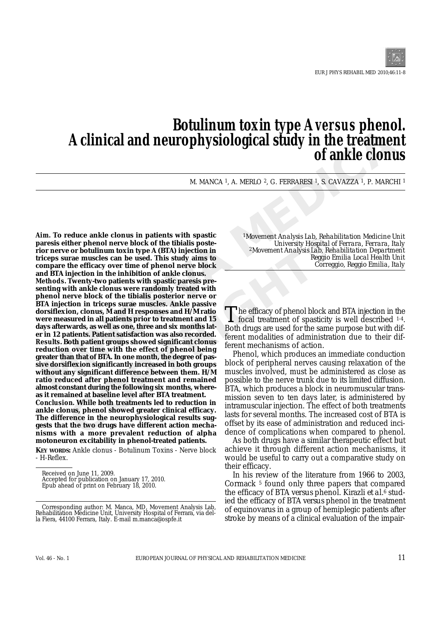# **Botulinum toxin type A** *versus* **phenol. A clinical and neurophysiological study in the treatment of ankle clonus**

M. MANCA 1, A. MERLO 2, G. FERRARESI 1, S. CAVAZZA 1, P. MARCHI 1

*Aim.* **To reduce ankle clonus in patients with spastic paresis either phenol nerve block of the tibialis posterior nerve or botulinum toxin type A (BTA) injection in triceps surae muscles can be used. This study aims to compare the efficacy over time of phenol nerve block and BTA injection in the inhibition of ankle clonus.**

**A clinical and neurophysiological study in the treatment of ankle cloring and meurophysiological study in the treatment of ankle cloring the matter of ankle cloring the matter of the inhilation Medicine matters is the phe** ther phenol nerve block of the tibialis postementation to the tibialism of the conformation of any be a form of phenol in the minibition of ank and the efficacy over time of phenol nerve block and the efficacy over time of *Methods.* **Twenty-two patients with spastic paresis presenting with ankle clonus were randomly treated with phenol nerve block of the tibialis posterior nerve or BTA injection in triceps surae muscles. Ankle passive dorsiflexion, clonus, M and H responses and H/M ratio were measured in all patients prior to treatment and 15 days afterwards, as well as one, three and six months later in 12 patients. Patient satisfaction was also recorded.** *Results.* **Both patient groups showed significant clonus reduction over time with the effect of phenol being greater than that of BTA. In one month, the degree of passive dorsiflexion significantly increased in both groups without any significant difference between them. H/M ratio reduced after phenol treatment and remained almost constant during the following six months, whereas it remained at baseline level after BTA treatment.** *Conclusion.* **While both treatments led to reduction in ankle clonus, phenol showed greater clinical efficacy. The difference in the neurophysiological results suggests that the two drugs have different action mechanisms with a more prevalent reduction of alpha motoneuron excitability in phenol-treated patients.** 

**KEY WORDS:** Ankle clonus - Botulinum Toxins - Nerve block - H-Reflex.

Accepted for publication on January 17, 2010. Epub ahead of print on February 18, 2010.

*1Movement Analysis Lab, Rehabilitation Medicine Unit University Hospital of Ferrara, Ferrara, Italy 2Movement Analysis Lab, Rehabilitation Department Reggio Emilia Local Health Unit Correggio, Reggio Emilia, Italy*

The efficacy of phenol block and BTA injection in the<br>focal treatment of spasticity is well described <sup>1-4</sup>. Both drugs are used for the same purpose but with different modalities of administration due to their different mechanisms of action.

Phenol, which produces an immediate conduction block of peripheral nerves causing relaxation of the muscles involved, must be administered as close as possible to the nerve trunk due to its limited diffusion. BTA, which produces a block in neuromuscular transmission seven to ten days later, is administered by intramuscular injection. The effect of both treatments lasts for several months. The increased cost of BTA is offset by its ease of administration and reduced incidence of complications when compared to phenol.

As both drugs have a similar therapeutic effect but achieve it through different action mechanisms, it would be useful to carry out a comparative study on their efficacy.

In his review of the literature from 1966 to 2003, Cormack 5 found only three papers that compared the efficacy of BTA *versus* phenol. Kirazli *et al*.6 studied the efficacy of BTA *versus* phenol in the treatment of equinovarus in a group of hemiplegic patients after stroke by means of a clinical evaluation of the impair-

Received on June 11, 2009.

Corresponding author: M. Manca, MD, Movement Analysis Lab, Rehabilitation Medicine Unit, University Hospital of Ferrara, via della Fiera, 44100 Ferrara, Italy. E-mail m.manca@ospfe.it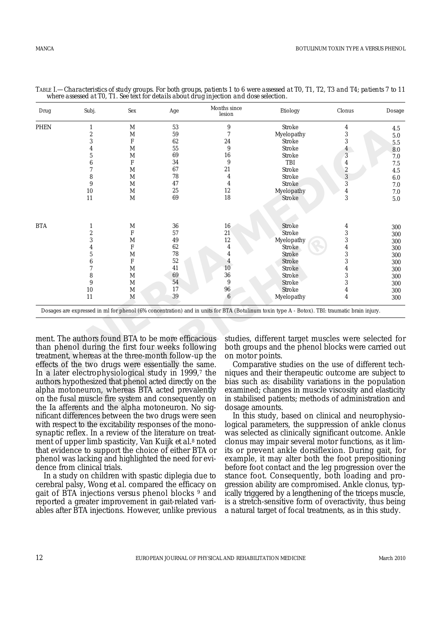|             |                                                                                    |                                                                         |                                                                                                    |                                                                                                                                                                                                                                                                                                                                                                                                                                                                                                                                                                                                                                                                                                                                                                                  |                                                                                                                                                                                                          | Dosage                                                                                                                                                                                                                                                                                                                                                                                                                                                                                                                                                                                                                                                                                                                                                                                                         |
|-------------|------------------------------------------------------------------------------------|-------------------------------------------------------------------------|----------------------------------------------------------------------------------------------------|----------------------------------------------------------------------------------------------------------------------------------------------------------------------------------------------------------------------------------------------------------------------------------------------------------------------------------------------------------------------------------------------------------------------------------------------------------------------------------------------------------------------------------------------------------------------------------------------------------------------------------------------------------------------------------------------------------------------------------------------------------------------------------|----------------------------------------------------------------------------------------------------------------------------------------------------------------------------------------------------------|----------------------------------------------------------------------------------------------------------------------------------------------------------------------------------------------------------------------------------------------------------------------------------------------------------------------------------------------------------------------------------------------------------------------------------------------------------------------------------------------------------------------------------------------------------------------------------------------------------------------------------------------------------------------------------------------------------------------------------------------------------------------------------------------------------------|
| 1           | M                                                                                  | 53                                                                      | 9                                                                                                  | Stroke                                                                                                                                                                                                                                                                                                                                                                                                                                                                                                                                                                                                                                                                                                                                                                           | 4                                                                                                                                                                                                        | 4.5                                                                                                                                                                                                                                                                                                                                                                                                                                                                                                                                                                                                                                                                                                                                                                                                            |
| 2<br>3<br>4 | M                                                                                  | 59                                                                      | 7                                                                                                  | Myelopathy                                                                                                                                                                                                                                                                                                                                                                                                                                                                                                                                                                                                                                                                                                                                                                       | 3                                                                                                                                                                                                        | 5.0                                                                                                                                                                                                                                                                                                                                                                                                                                                                                                                                                                                                                                                                                                                                                                                                            |
|             | F                                                                                  | 62                                                                      | 24                                                                                                 | Stroke                                                                                                                                                                                                                                                                                                                                                                                                                                                                                                                                                                                                                                                                                                                                                                           | 3                                                                                                                                                                                                        | 5.5                                                                                                                                                                                                                                                                                                                                                                                                                                                                                                                                                                                                                                                                                                                                                                                                            |
|             | M                                                                                  | 55                                                                      | 9                                                                                                  | Stroke                                                                                                                                                                                                                                                                                                                                                                                                                                                                                                                                                                                                                                                                                                                                                                           | 4                                                                                                                                                                                                        | 8.0                                                                                                                                                                                                                                                                                                                                                                                                                                                                                                                                                                                                                                                                                                                                                                                                            |
| 5           | M                                                                                  |                                                                         |                                                                                                    |                                                                                                                                                                                                                                                                                                                                                                                                                                                                                                                                                                                                                                                                                                                                                                                  |                                                                                                                                                                                                          | 7.0                                                                                                                                                                                                                                                                                                                                                                                                                                                                                                                                                                                                                                                                                                                                                                                                            |
| 6           |                                                                                    |                                                                         |                                                                                                    |                                                                                                                                                                                                                                                                                                                                                                                                                                                                                                                                                                                                                                                                                                                                                                                  | 4                                                                                                                                                                                                        | 7.5                                                                                                                                                                                                                                                                                                                                                                                                                                                                                                                                                                                                                                                                                                                                                                                                            |
|             | M                                                                                  |                                                                         |                                                                                                    | Stroke                                                                                                                                                                                                                                                                                                                                                                                                                                                                                                                                                                                                                                                                                                                                                                           |                                                                                                                                                                                                          | 4.5                                                                                                                                                                                                                                                                                                                                                                                                                                                                                                                                                                                                                                                                                                                                                                                                            |
|             |                                                                                    |                                                                         | 4                                                                                                  |                                                                                                                                                                                                                                                                                                                                                                                                                                                                                                                                                                                                                                                                                                                                                                                  |                                                                                                                                                                                                          | 6.0                                                                                                                                                                                                                                                                                                                                                                                                                                                                                                                                                                                                                                                                                                                                                                                                            |
|             |                                                                                    |                                                                         |                                                                                                    |                                                                                                                                                                                                                                                                                                                                                                                                                                                                                                                                                                                                                                                                                                                                                                                  |                                                                                                                                                                                                          | 7.0                                                                                                                                                                                                                                                                                                                                                                                                                                                                                                                                                                                                                                                                                                                                                                                                            |
|             |                                                                                    |                                                                         |                                                                                                    |                                                                                                                                                                                                                                                                                                                                                                                                                                                                                                                                                                                                                                                                                                                                                                                  |                                                                                                                                                                                                          | 7.0                                                                                                                                                                                                                                                                                                                                                                                                                                                                                                                                                                                                                                                                                                                                                                                                            |
|             |                                                                                    |                                                                         |                                                                                                    |                                                                                                                                                                                                                                                                                                                                                                                                                                                                                                                                                                                                                                                                                                                                                                                  |                                                                                                                                                                                                          | 5.0                                                                                                                                                                                                                                                                                                                                                                                                                                                                                                                                                                                                                                                                                                                                                                                                            |
|             |                                                                                    |                                                                         |                                                                                                    |                                                                                                                                                                                                                                                                                                                                                                                                                                                                                                                                                                                                                                                                                                                                                                                  |                                                                                                                                                                                                          |                                                                                                                                                                                                                                                                                                                                                                                                                                                                                                                                                                                                                                                                                                                                                                                                                |
|             |                                                                                    |                                                                         |                                                                                                    |                                                                                                                                                                                                                                                                                                                                                                                                                                                                                                                                                                                                                                                                                                                                                                                  |                                                                                                                                                                                                          | 300<br>300                                                                                                                                                                                                                                                                                                                                                                                                                                                                                                                                                                                                                                                                                                                                                                                                     |
|             |                                                                                    |                                                                         |                                                                                                    |                                                                                                                                                                                                                                                                                                                                                                                                                                                                                                                                                                                                                                                                                                                                                                                  |                                                                                                                                                                                                          | 300                                                                                                                                                                                                                                                                                                                                                                                                                                                                                                                                                                                                                                                                                                                                                                                                            |
|             |                                                                                    |                                                                         |                                                                                                    |                                                                                                                                                                                                                                                                                                                                                                                                                                                                                                                                                                                                                                                                                                                                                                                  |                                                                                                                                                                                                          | 300                                                                                                                                                                                                                                                                                                                                                                                                                                                                                                                                                                                                                                                                                                                                                                                                            |
|             |                                                                                    |                                                                         |                                                                                                    |                                                                                                                                                                                                                                                                                                                                                                                                                                                                                                                                                                                                                                                                                                                                                                                  |                                                                                                                                                                                                          | 300                                                                                                                                                                                                                                                                                                                                                                                                                                                                                                                                                                                                                                                                                                                                                                                                            |
|             |                                                                                    |                                                                         |                                                                                                    |                                                                                                                                                                                                                                                                                                                                                                                                                                                                                                                                                                                                                                                                                                                                                                                  |                                                                                                                                                                                                          | 300                                                                                                                                                                                                                                                                                                                                                                                                                                                                                                                                                                                                                                                                                                                                                                                                            |
|             |                                                                                    |                                                                         |                                                                                                    |                                                                                                                                                                                                                                                                                                                                                                                                                                                                                                                                                                                                                                                                                                                                                                                  |                                                                                                                                                                                                          | 300                                                                                                                                                                                                                                                                                                                                                                                                                                                                                                                                                                                                                                                                                                                                                                                                            |
|             |                                                                                    |                                                                         |                                                                                                    |                                                                                                                                                                                                                                                                                                                                                                                                                                                                                                                                                                                                                                                                                                                                                                                  |                                                                                                                                                                                                          | 300                                                                                                                                                                                                                                                                                                                                                                                                                                                                                                                                                                                                                                                                                                                                                                                                            |
|             |                                                                                    |                                                                         |                                                                                                    |                                                                                                                                                                                                                                                                                                                                                                                                                                                                                                                                                                                                                                                                                                                                                                                  |                                                                                                                                                                                                          | 300                                                                                                                                                                                                                                                                                                                                                                                                                                                                                                                                                                                                                                                                                                                                                                                                            |
|             |                                                                                    |                                                                         |                                                                                                    |                                                                                                                                                                                                                                                                                                                                                                                                                                                                                                                                                                                                                                                                                                                                                                                  |                                                                                                                                                                                                          | 300                                                                                                                                                                                                                                                                                                                                                                                                                                                                                                                                                                                                                                                                                                                                                                                                            |
| 11          | M                                                                                  | 39                                                                      | 6                                                                                                  | Myelopathy                                                                                                                                                                                                                                                                                                                                                                                                                                                                                                                                                                                                                                                                                                                                                                       | 4                                                                                                                                                                                                        | 300                                                                                                                                                                                                                                                                                                                                                                                                                                                                                                                                                                                                                                                                                                                                                                                                            |
|             |                                                                                    |                                                                         |                                                                                                    |                                                                                                                                                                                                                                                                                                                                                                                                                                                                                                                                                                                                                                                                                                                                                                                  |                                                                                                                                                                                                          |                                                                                                                                                                                                                                                                                                                                                                                                                                                                                                                                                                                                                                                                                                                                                                                                                |
|             |                                                                                    |                                                                         |                                                                                                    |                                                                                                                                                                                                                                                                                                                                                                                                                                                                                                                                                                                                                                                                                                                                                                                  |                                                                                                                                                                                                          |                                                                                                                                                                                                                                                                                                                                                                                                                                                                                                                                                                                                                                                                                                                                                                                                                |
|             |                                                                                    |                                                                         |                                                                                                    |                                                                                                                                                                                                                                                                                                                                                                                                                                                                                                                                                                                                                                                                                                                                                                                  |                                                                                                                                                                                                          |                                                                                                                                                                                                                                                                                                                                                                                                                                                                                                                                                                                                                                                                                                                                                                                                                |
|             | 8<br>9<br>10<br>11<br>1<br>$\overline{c}$<br>3<br>4<br>5<br>6<br>7<br>8<br>9<br>10 | F<br>M<br>M<br>M<br>M<br>M<br>F<br>M<br>F<br>M<br>F<br>M<br>M<br>M<br>M | 69<br>34<br>67<br>78<br>47<br>25<br>69<br>36<br>57<br>49<br>62<br>78<br>52<br>41<br>69<br>54<br>17 | 16<br>9<br>21<br>4<br>12<br>18<br>16<br>21<br>12<br>4<br>4<br>4<br>10<br>36<br>9<br>96<br>ment. The authors found BTA to be more efficacious<br>than phenol during the first four weeks following<br>treatment, whereas at the three-month follow-up the<br>effects of the two drugs were essentially the same.<br>In a later electrophysiological study in 1999,7 the<br>authors hypothesized that phenol acted directly on the<br>alpha motoneuron, whereas BTA acted prevalently<br>on the fusal muscle fire system and consequently on<br>the Ia afferents and the alpha motoneuron. No sig-<br>nificant differences between the two drugs were seen<br>with respect to the excitability responses of the mono-<br>sypantic roflox. In a roviour of the literature on troat- | Stroke<br>TBI<br>Stroke<br>Stroke<br>Myelopathy<br>Stroke<br>Stroke<br>Stroke<br>Myelopathy<br>Stroke<br>Stroke<br>Stroke<br>Stroke<br>Stroke<br>Stroke<br>Stroke<br>on motor points.<br>dosage amounts. | 3<br>$\sqrt{2}$<br>3<br>3<br>4<br>3<br>4<br>3<br>3<br>4<br>3<br>3<br>4<br>3<br>3<br>4<br>Dosages are expressed in ml for phenol (6% concentration) and in units for BTA (Botulinum toxin type A - Botox). TBI: traumatic brain injury.<br>studies, different target muscles were selected for<br>both groups and the phenol blocks were carried out<br>Comparative studies on the use of different tech-<br>niques and their therapeutic outcome are subject to<br>bias such as: disability variations in the population<br>examined; changes in muscle viscosity and elasticity<br>in stabilised patients; methods of administration and<br>In this study, based on clinical and neurophysio-<br>logical parameters, the suppression of ankle clonus<br>was soloctod as clinically significant outcomo. Anklo |

TABLE I.—*Characteristics of study groups. For both groups, patients 1 to 6 were assessed at T0, T1, T2, T3 and T4; patients 7 to 11 where assessed at T0, T1. See text for details about drug injection and dose selection.*

ment. The authors found BTA to be more efficacious than phenol during the first four weeks following treatment, whereas at the three-month follow-up the effects of the two drugs were essentially the same. In a later electrophysiological study in 1999,7 the authors hypothesized that phenol acted directly on the alpha motoneuron, whereas BTA acted prevalently on the fusal muscle fire system and consequently on the Ia afferents and the alpha motoneuron. No significant differences between the two drugs were seen with respect to the excitability responses of the monosynaptic reflex. In a review of the literature on treatment of upper limb spasticity, Van Kuijk *et al*.8 noted that evidence to support the choice of either BTA or phenol was lacking and highlighted the need for evidence from clinical trials.

In a study on children with spastic diplegia due to cerebral palsy, Wong *et al*. compared the efficacy on gait of BTA injections *versus* phenol blocks 9 and reported a greater improvement in gait-related variables after BTA injections. However, unlike previous

In this study, based on clinical and neurophysiological parameters, the suppression of ankle clonus was selected as clinically significant outcome. Ankle clonus may impair several motor functions, as it limits or prevent ankle dorsiflexion. During gait, for example, it may alter both the foot prepositioning before foot contact and the leg progression over the stance foot. Consequently, both loading and progression ability are compromised. Ankle clonus, typically triggered by a lengthening of the triceps muscle, is a stretch-sensitive form of overactivity, thus being a natural target of focal treatments, as in this study.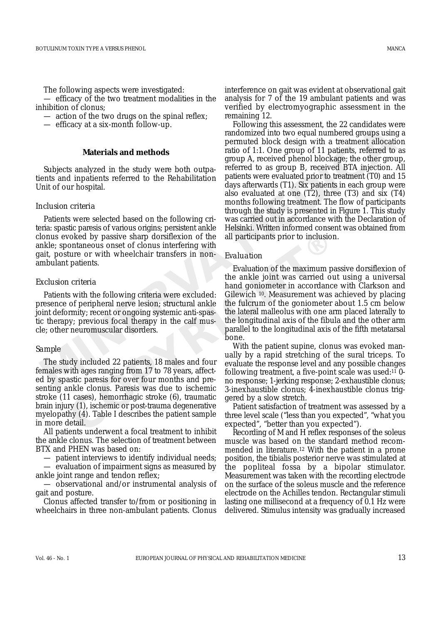The following aspects were investigated:

— efficacy of the two treatment modalities in the inhibition of clonus;

— action of the two drugs on the spinal reflex;

— efficacy at a six-month follow-up.

# **Materials and methods**

Subjects analyzed in the study were both outpatients and inpatients referred to the Rehabilitation Unit of our hospital.

# *Inclusion criteria*

Patients were selected based on the following criteria: spastic paresis of various origins; persistent ankle clonus evoked by passive sharp dorsiflexion of the ankle; spontaneous onset of clonus interfering with gait, posture or with wheelchair transfers in nonambulant patients.

### *Exclusion criteria*

Patients with the following criteria were excluded: presence of peripheral nerve lesion; structural ankle joint deformity; recent or ongoing systemic anti-spastic therapy; previous focal therapy in the calf muscle; other neuromuscular disorders.

#### *Sample*

Frontaneous onset of clonus interfering with<br>ontaneous onset of clonus interfering with<br>ture or with wheelchair transfers in non-<br>fraction<br>patients.<br>Frontier or with the following criteria the ankle joint was carried<br>than The study included 22 patients, 18 males and four females with ages ranging from 17 to 78 years, affected by spastic paresis for over four months and presenting ankle clonus. Paresis was due to ischemic stroke (11 cases), hemorrhagic stroke (6), traumatic brain injury (1), ischemic or post-trauma degenerative myelopathy (4). Table I describes the patient sample in more detail*.*

All patients underwent a focal treatment to inhibit the ankle clonus. The selection of treatment between BTX and PHEN was based on:

— patient interviews to identify individual needs;

— evaluation of impairment signs as measured by ankle joint range and tendon reflex;

— observational and/or instrumental analysis of gait and posture.

Clonus affected transfer to/from or positioning in wheelchairs in three non-ambulant patients. Clonus interference on gait was evident at observational gait analysis for 7 of the 19 ambulant patients and was verified by electromyographic assessment in the remaining 12.

**Materials and methods**<br> **Materials and methods**<br> **Materials and methods**<br> **Materials and the study were both outpa**<br> **Materials referred** to the group A, received phenol blockage; the other groups<br> **MATERION and inference** Following this assessment, the 22 candidates were randomized into two equal numbered groups using a permuted block design with a treatment allocation ratio of 1:1. One group of 11 patients, referred to as group A, received phenol blockage; the other group, referred to as group B, received BTA injection. All patients were evaluated prior to treatment (T0) and 15 days afterwards (T1). Six patients in each group were also evaluated at one (T2), three (T3) and six (T4) months following treatment. The flow of participants through the study is presented in Figure 1. This study was carried out in accordance with the Declaration of Helsinki. Written informed consent was obtained from all participants prior to inclusion.

# *Evaluation*

Evaluation of the maximum passive dorsiflexion of the ankle joint was carried out using a universal hand goniometer in accordance with Clarkson and Gilewich 10. Measurement was achieved by placing the fulcrum of the goniometer about 1.5 cm below the lateral malleolus with one arm placed laterally to the longitudinal axis of the fibula and the other arm parallel to the longitudinal axis of the fifth metatarsal bone.

With the patient supine, clonus was evoked manually by a rapid stretching of the sural triceps. To evaluate the response level and any possible changes following treatment, a five-point scale was used:11 0 no response; 1-jerking response; 2-exhaustible clonus; 3-inexhaustible clonus; 4-inexhaustible clonus triggered by a slow stretch.

Patient satisfaction of treatment was assessed by a three level scale ("less than you expected", "what you expected", "better than you expected").

Recording of M and H reflex responses of the soleus muscle was based on the standard method recommended in literature.12 With the patient in a prone position, the tibialis posterior nerve was stimulated at the popliteal fossa by a bipolar stimulator. Measurement was taken with the recording electrode on the surface of the soleus muscle and the reference electrode on the Achilles tendon. Rectangular stimuli lasting one millisecond at a frequency of 0.1 Hz were delivered. Stimulus intensity was gradually increased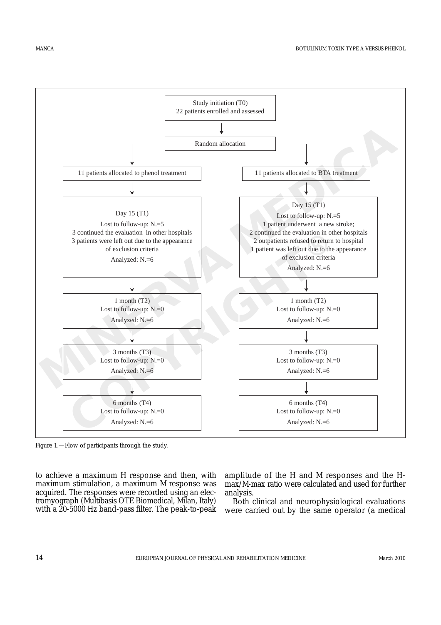

Figure 1.—Flow of participants through the study.

to achieve a maximum H response and then, with maximum stimulation, a maximum M response was acquired. The responses were recorded using an electromyograph (Multibasis OTE Biomedical, Milan, Italy) with a 20-5000 Hz band-pass filter. The peak-to-peak

amplitude of the H and M responses and the Hmax/M-max ratio were calculated and used for further analysis.

Both clinical and neurophysiological evaluations were carried out by the same operator (a medical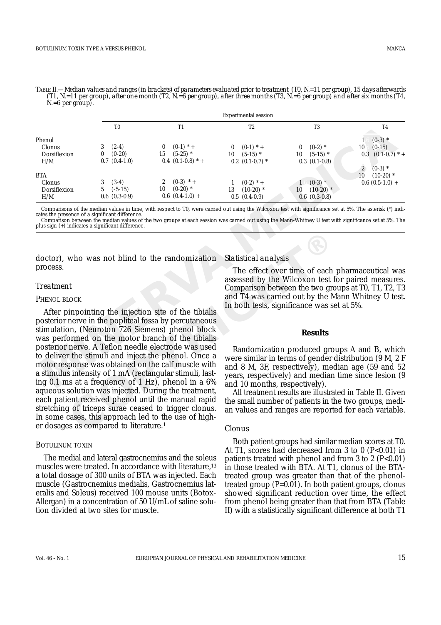|                                         |                                                                                                      | Experimental session                                                                                                                                                                                                                                                                      |                                                                                                  |                                                                                                                                                                                                                                                                                                                     |                                                                                                    |  |  |  |
|-----------------------------------------|------------------------------------------------------------------------------------------------------|-------------------------------------------------------------------------------------------------------------------------------------------------------------------------------------------------------------------------------------------------------------------------------------------|--------------------------------------------------------------------------------------------------|---------------------------------------------------------------------------------------------------------------------------------------------------------------------------------------------------------------------------------------------------------------------------------------------------------------------|----------------------------------------------------------------------------------------------------|--|--|--|
|                                         | T <sub>0</sub>                                                                                       | T <sub>1</sub>                                                                                                                                                                                                                                                                            | T <sub>2</sub>                                                                                   | T <sub>3</sub>                                                                                                                                                                                                                                                                                                      | T <sub>4</sub>                                                                                     |  |  |  |
| Phenol<br>Clonus<br>Dorsiflexion<br>H/M | $(2-4)$<br>3<br>$(0-20)$<br>0<br>$0.7$ $(0.4-1.0)$                                                   | $(0-1)$ * +<br>15<br>$(5-25)$ *<br>$0.4$ $(0.1-0.8)$ * +                                                                                                                                                                                                                                  | $(0-1)$ * +<br>$(5-15)$ *<br>10<br>$0.2$ $(0.1-0.7)$ *                                           | $(0-2)$ *<br>$\Omega$<br>10<br>$(5-15)$ *<br>$0.3$ $(0.1-0.8)$                                                                                                                                                                                                                                                      | $(0-3)$ *<br>$\mathbf{1}$<br>10<br>$(0-15)$<br>0.3<br>$(0.1-0.7)$ * +<br>$\mathbf{2}$<br>$(0-3)$ * |  |  |  |
| BTA<br>Clonus<br>Dorsiflexion<br>H/M    | $(3-4)$<br>3<br>5<br>$(-5-15)$<br>$0.6$ $(0.3-0.9)$                                                  | $(0-3)$ * +<br>$(0-20)$ *<br>10<br>$0.6$ $(0.4-1.0)$ +                                                                                                                                                                                                                                    | $(0-2)$ * +<br>$(10-20)$ *<br>13<br>$0.5(0.4-0.9)$                                               | $1(0-3)$ *<br>$(10-20)$ *<br>10<br>$0.6$ $(0.3-0.8)$                                                                                                                                                                                                                                                                | $(10-20)$ *<br>10<br>$0.6$ $(0.5-1.0)$ +                                                           |  |  |  |
|                                         | cates the presence of a significant difference.<br>plus sign (+) indicates a significant difference. |                                                                                                                                                                                                                                                                                           |                                                                                                  | Comparisons of the median values in time, with respect to T0, were carried out using the Wilcoxon test with significance set at 5%. The asterisk (*) indi-<br>Comparison between the median values of the two groups at each session was carried out using the Mann-Whitney U test with significance set at 5%. The |                                                                                                    |  |  |  |
| process.                                |                                                                                                      | doctor), who was not blind to the randomization                                                                                                                                                                                                                                           | Statistical analysis                                                                             | The effect over time of each pharmaceutical was<br>assessed by the Wilcoxon test for paired measures.                                                                                                                                                                                                               |                                                                                                    |  |  |  |
| <b>Treatment</b>                        |                                                                                                      |                                                                                                                                                                                                                                                                                           |                                                                                                  | Comparison between the two groups at T0, T1, T2, T3                                                                                                                                                                                                                                                                 |                                                                                                    |  |  |  |
| PHENOL BLOCK                            |                                                                                                      |                                                                                                                                                                                                                                                                                           | and T4 was carried out by the Mann Whitney U test.<br>In both tests, significance was set at 5%. |                                                                                                                                                                                                                                                                                                                     |                                                                                                    |  |  |  |
|                                         |                                                                                                      | After pinpointing the injection site of the tibialis<br>posterior nerve in the popliteal fossa by percutaneous<br>stimulation, (Neuroton 726 Siemens) phenol block<br>was performed on the motor branch of the tibialis                                                                   |                                                                                                  | <b>Results</b>                                                                                                                                                                                                                                                                                                      |                                                                                                    |  |  |  |
|                                         |                                                                                                      | posterior nerve. A Teflon needle electrode was used<br>to deliver the stimuli and inject the phenol. Once a<br>motor response was obtained on the calf muscle with<br>a stimulus intensity of 1 mA (rectangular stimuli, last-<br>ing $0.1$ ms at a frequency of 1 Hz), phenol in a $6\%$ |                                                                                                  | Randomization produced groups A and B, which<br>were similar in terms of gender distribution (9 M, 2 F<br>and 8 M, 3F, respectively), median age (59 and 52<br>years, respectively) and median time since lesion (9<br>and 10 months, respectively).                                                                |                                                                                                    |  |  |  |

TABLE II.—Median values and ranges (in brackets) of parameters evaluated prior to treatment (T0, N.=11 per group), 15 days afterwards<br>(T1, N.=11 per group), after one month (T2, N.=6 per group), after three months (T3, N. *N.=6 per group).*

# *Treatment*

#### PHENOL BLOCK

who was not blind to the randomization *Statistical analysis*<br>
The effect over time of earsessed by the Wilcoxon te<br>
correction and T4 was carried out by the<br>
impointing the injection site of the tibialis<br>
In both tests, s After pinpointing the injection site of the tibialis posterior nerve in the popliteal fossa by percutaneous stimulation, (Neuroton 726 Siemens) phenol block was performed on the motor branch of the tibialis posterior nerve. A Teflon needle electrode was used to deliver the stimuli and inject the phenol. Once a motor response was obtained on the calf muscle with a stimulus intensity of 1 mA (rectangular stimuli, lasting 0.1 ms at a frequency of 1 Hz), phenol in a 6% aqueous solution was injected. During the treatment, each patient received phenol until the manual rapid stretching of triceps surae ceased to trigger clonus. In some cases, this approach led to the use of higher dosages as compared to literature.1

#### BOTULINUM TOXIN

The medial and lateral gastrocnemius and the soleus muscles were treated. In accordance with literature,<sup>13</sup> a total dosage of 300 units of BTA was injected. Each muscle (Gastrocnemius medialis, Gastrocnemius lateralis and Soleus) received 100 mouse units (Botox-Allergan) in a concentration of 50 U/mL of saline solution divided at two sites for muscle.

# *Statistical analysis*

#### **Results**

All treatment results are illustrated in Table II. Given the small number of patients in the two groups, median values and ranges are reported for each variable.

# *Clonus*

Both patient groups had similar median scores at T0. At T1, scores had decreased from 3 to 0  $(P<0.01)$  in patients treated with phenol and from  $3$  to  $2$  (P<0.01) in those treated with BTA. At T1, clonus of the BTAtreated group was greater than that of the phenoltreated group (P=0.01). In both patient groups, clonus showed significant reduction over time, the effect from phenol being greater than that from BTA (Table II) with a statistically significant difference at both T1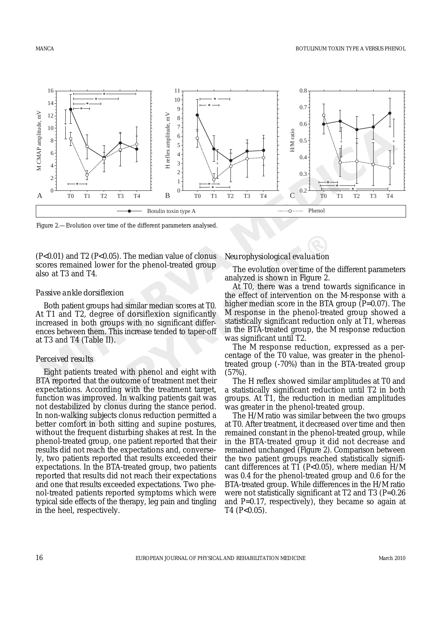

Figure 2.—Evolution over time of the different parameters analysed.

 $(P<0.01)$  and T2  $(P<0.05)$ . The median value of clonus scores remained lower for the phenol-treated group also at T3 and T4.

# *Passive ankle dorsiflexion*

Both patient groups had similar median scores at T0. At T1 and T2, degree of dorsiflexion significantly increased in both groups with no significant differences between them. This increase tended to taper-off at T3 and T4 (Table II).

# *Perceived results*

and T2 (P<0.05). The median value of clonus *Neurophysiological evaluatio*<br>mained lower for the phenol-treated group The evolution over time of<br>analyzed is shown in Figure<br>make dorsiflexion<br>in the effect of intervention on Eight patients treated with phenol and eight with BTA reported that the outcome of treatment met their expectations. According with the treatment target, function was improved. In walking patients gait was not destabilized by clonus during the stance period. In non-walking subjects clonus reduction permitted a better comfort in both sitting and supine postures, without the frequent disturbing shakes at rest. In the phenol-treated group, one patient reported that their results did not reach the expectations and, conversely, two patients reported that results exceeded their expectations. In the BTA-treated group, two patients reported that results did not reach their expectations and one that results exceeded expectations. Two phenol-treated patients reported symptoms which were typical side effects of the therapy, leg pain and tingling in the heel, respectively.

# *Neurophysiological evaluation*

The evolution over time of the different parameters analyzed is shown in Figure 2.

At T0, there was a trend towards significance in the effect of intervention on the M-response with a higher median score in the BTA group  $(P=0.07)$ . The M response in the phenol-treated group showed a statistically significant reduction only at T1, whereas in the BTA-treated group, the M response reduction was significant until T2.

The M response reduction, expressed as a percentage of the T0 value, was greater in the phenoltreated group (-70%) than in the BTA-treated group (57%).

The H reflex showed similar amplitudes at T0 and a statistically significant reduction until T2 in both groups. At T1, the reduction in median amplitudes was greater in the phenol-treated group.

The H/M ratio was similar between the two groups at T0. After treatment, it decreased over time and then remained constant in the phenol-treated group, while in the BTA-treated group it did not decrease and remained unchanged (Figure 2). Comparison between the two patient groups reached statistically significant differences at T1 (P<0.05), where median  $H/M$ was 0.4 for the phenol-treated group and 0.6 for the BTA-treated group. While differences in the H/M ratio were not statistically significant at T2 and T3 (P=0.26 and P=0.17, respectively), they became so again at T4  $(P<0.05)$ .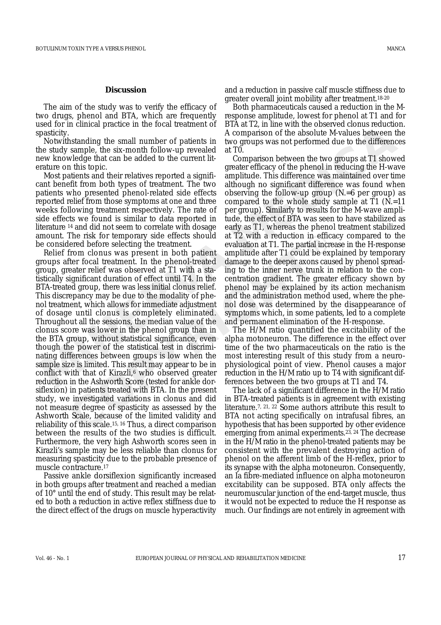### **Discussion**

The aim of the study was to verify the efficacy of two drugs, phenol and BTA, which are frequently used for in clinical practice in the focal treatment of spasticity.

Notwithstanding the small number of patients in the study sample, the six-month follow-up revealed new knowledge that can be added to the current literature on this topic.

Most patients and their relatives reported a significant benefit from both types of treatment. The two patients who presented phenol-related side effects reported relief from those symptoms at one and three weeks following treatment respectively. The rate of side effects we found is similar to data reported in literature 14 and did not seem to correlate with dosage amount. The risk for temporary side effects should be considered before selecting the treatment.

The risk for temporary side enects snould at *L* with a reduction in error<br>thered before selecting the treatment.<br>
From clonus was present in both patient amplitude after T1 could be ther focal treatment. In the phenol-tre Relief from clonus was present in both patient groups after focal treatment. In the phenol-treated group, greater relief was observed at T1 with a statistically significant duration of effect until T4. In the BTA-treated group, there was less initial clonus relief. This discrepancy may be due to the modality of phenol treatment, which allows for immediate adjustment of dosage until clonus is completely eliminated. Throughout all the sessions, the median value of the clonus score was lower in the phenol group than in the BTA group, without statistical significance, even though the power of the statistical test in discriminating differences between groups is low when the sample size is limited. This result may appear to be in conflict with that of Kirazli, $6$  who observed greater reduction in the Ashworth Score (tested for ankle dorsiflexion) in patients treated with BTA. In the present study, we investigated variations in clonus and did not measure degree of spasticity as assessed by the Ashworth Scale, because of the limited validity and reliability of this scale.15, 16 Thus, a direct comparison between the results of the two studies is difficult. Furthermore, the very high Ashworth scores seen in Kirazli's sample may be less reliable than clonus for measuring spasticity due to the probable presence of muscle contracture.17

Passive ankle dorsiflexion significantly increased in both groups after treatment and reached a median of 10° until the end of study. This result may be related to both a reduction in active reflex stiffness due to the direct effect of the drugs on muscle hyperactivity and a reduction in passive calf muscle stiffness due to greater overall joint mobility after treatment.18-20

Both pharmaceuticals caused a reduction in the Mresponse amplitude, lowest for phenol at T1 and for BTA at T2, in line with the observed clonus reduction. A comparison of the absolute M-values between the two groups was not performed due to the differences at T0.

passicity<br>
Motowithstanding the small number of patients in two groups was not berformed due to the differe<br>
he study sample, the six-month follow-up revealed at T0.<br>
More study sample, the six-month follow-up revealed at Comparison between the two groups at T1 showed greater efficacy of the phenol in reducing the H-wave amplitude. This difference was maintained over time although no significant difference was found when observing the follow-up group (N.=6 per group) as compared to the whole study sample at T1 (N.=11 per group). Similarly to results for the M-wave amplitude, the effect of BTA was seen to have stabilized as early as T1, whereas the phenol treatment stabilized at T2 with a reduction in efficacy compared to the evaluation at T1. The partial increase in the H-response amplitude after T1 could be explained by temporary damage to the deeper axons caused by phenol spreading to the inner nerve trunk in relation to the concentration gradient. The greater efficacy shown by phenol may be explained by its action mechanism and the administration method used, where the phenol dose was determined by the disappearance of symptoms which, in some patients, led to a complete and permanent elimination of the H-response.

The H/M ratio quantified the excitability of the alpha motoneuron. The difference in the effect over time of the two pharmaceuticals on the ratio is the most interesting result of this study from a neurophysiological point of view. Phenol causes a major reduction in the H/M ratio up to T4 with significant differences between the two groups at T1 and T4.

The lack of a significant difference in the H/M ratio in BTA-treated patients is in agreement with existing literature.7, 21, 22 Some authors attribute this result to BTA not acting specifically on intrafusal fibres, an hypothesis that has been supported by other evidence emerging from animal experiments.<sup>23, 24</sup> The decrease in the H/M ratio in the phenol-treated patients may be consistent with the prevalent destroying action of phenol on the afferent limb of the H-reflex, prior to its synapse with the alpha motoneuron. Consequently, an Ia fibre-mediated influence on alpha motoneuron excitability can be supposed. BTA only affects the neuromuscular junction of the end-target muscle, thus it would not be expected to reduce the H response as much. Our findings are not entirely in agreement with